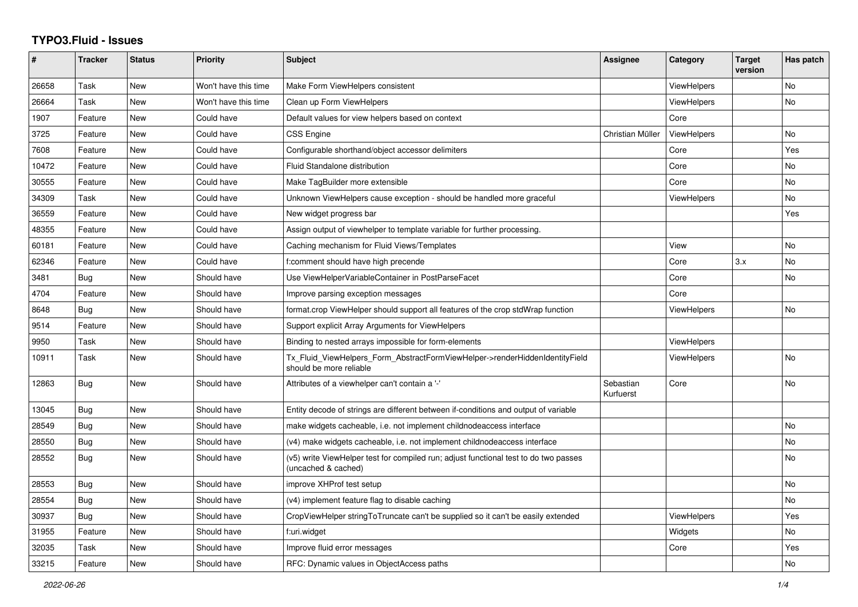## **TYPO3.Fluid - Issues**

| #     | <b>Tracker</b> | <b>Status</b> | <b>Priority</b>      | Subject                                                                                                     | Assignee               | Category           | <b>Target</b><br>version | Has patch |
|-------|----------------|---------------|----------------------|-------------------------------------------------------------------------------------------------------------|------------------------|--------------------|--------------------------|-----------|
| 26658 | Task           | <b>New</b>    | Won't have this time | Make Form ViewHelpers consistent                                                                            |                        | ViewHelpers        |                          | <b>No</b> |
| 26664 | Task           | <b>New</b>    | Won't have this time | Clean up Form ViewHelpers                                                                                   |                        | <b>ViewHelpers</b> |                          | <b>No</b> |
| 1907  | Feature        | <b>New</b>    | Could have           | Default values for view helpers based on context                                                            |                        | Core               |                          |           |
| 3725  | Feature        | New           | Could have           | <b>CSS Engine</b>                                                                                           | Christian Müller       | ViewHelpers        |                          | No        |
| 7608  | Feature        | New           | Could have           | Configurable shorthand/object accessor delimiters                                                           |                        | Core               |                          | Yes       |
| 10472 | Feature        | <b>New</b>    | Could have           | Fluid Standalone distribution                                                                               |                        | Core               |                          | No        |
| 30555 | Feature        | <b>New</b>    | Could have           | Make TagBuilder more extensible                                                                             |                        | Core               |                          | <b>No</b> |
| 34309 | Task           | New           | Could have           | Unknown ViewHelpers cause exception - should be handled more graceful                                       |                        | <b>ViewHelpers</b> |                          | No        |
| 36559 | Feature        | New           | Could have           | New widget progress bar                                                                                     |                        |                    |                          | Yes       |
| 48355 | Feature        | <b>New</b>    | Could have           | Assign output of viewhelper to template variable for further processing.                                    |                        |                    |                          |           |
| 60181 | Feature        | <b>New</b>    | Could have           | Caching mechanism for Fluid Views/Templates                                                                 |                        | View               |                          | <b>No</b> |
| 62346 | Feature        | New           | Could have           | f:comment should have high precende                                                                         |                        | Core               | 3.x                      | No        |
| 3481  | Bug            | New           | Should have          | Use ViewHelperVariableContainer in PostParseFacet                                                           |                        | Core               |                          | No        |
| 4704  | Feature        | New           | Should have          | Improve parsing exception messages                                                                          |                        | Core               |                          |           |
| 8648  | <b>Bug</b>     | <b>New</b>    | Should have          | format.crop ViewHelper should support all features of the crop stdWrap function                             |                        | ViewHelpers        |                          | <b>No</b> |
| 9514  | Feature        | New           | Should have          | Support explicit Array Arguments for ViewHelpers                                                            |                        |                    |                          |           |
| 9950  | Task           | New           | Should have          | Binding to nested arrays impossible for form-elements                                                       |                        | <b>ViewHelpers</b> |                          |           |
| 10911 | Task           | New           | Should have          | Tx Fluid ViewHelpers Form AbstractFormViewHelper->renderHiddenIdentityField<br>should be more reliable      |                        | <b>ViewHelpers</b> |                          | No        |
| 12863 | Bug            | <b>New</b>    | Should have          | Attributes of a viewhelper can't contain a '-'                                                              | Sebastian<br>Kurfuerst | Core               |                          | No        |
| 13045 | <b>Bug</b>     | New           | Should have          | Entity decode of strings are different between if-conditions and output of variable                         |                        |                    |                          |           |
| 28549 | Bug            | New           | Should have          | make widgets cacheable, i.e. not implement childnodeaccess interface                                        |                        |                    |                          | <b>No</b> |
| 28550 | Bug            | New           | Should have          | (v4) make widgets cacheable, i.e. not implement childnodeaccess interface                                   |                        |                    |                          | No        |
| 28552 | <b>Bug</b>     | New           | Should have          | (v5) write ViewHelper test for compiled run; adjust functional test to do two passes<br>(uncached & cached) |                        |                    |                          | No        |
| 28553 | Bug            | New           | Should have          | improve XHProf test setup                                                                                   |                        |                    |                          | No        |
| 28554 | Bug            | New           | Should have          | (v4) implement feature flag to disable caching                                                              |                        |                    |                          | No        |
| 30937 | Bug            | New           | Should have          | CropViewHelper stringToTruncate can't be supplied so it can't be easily extended                            |                        | <b>ViewHelpers</b> |                          | Yes       |
| 31955 | Feature        | <b>New</b>    | Should have          | f:uri.widget                                                                                                |                        | Widgets            |                          | No        |
| 32035 | Task           | New           | Should have          | Improve fluid error messages                                                                                |                        | Core               |                          | Yes       |
| 33215 | Feature        | New           | Should have          | RFC: Dynamic values in ObjectAccess paths                                                                   |                        |                    |                          | No        |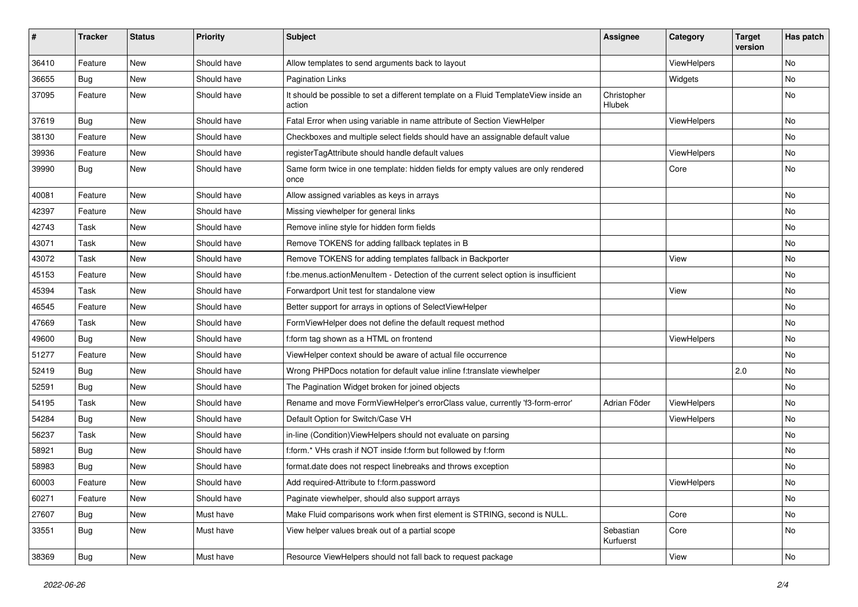| #     | <b>Tracker</b> | <b>Status</b> | <b>Priority</b> | Subject                                                                                       | <b>Assignee</b>        | Category    | <b>Target</b><br>version | Has patch |
|-------|----------------|---------------|-----------------|-----------------------------------------------------------------------------------------------|------------------------|-------------|--------------------------|-----------|
| 36410 | Feature        | New           | Should have     | Allow templates to send arguments back to layout                                              |                        | ViewHelpers |                          | <b>No</b> |
| 36655 | Bug            | New           | Should have     | <b>Pagination Links</b>                                                                       |                        | Widgets     |                          | No        |
| 37095 | Feature        | New           | Should have     | It should be possible to set a different template on a Fluid TemplateView inside an<br>action | Christopher<br>Hlubek  |             |                          | No        |
| 37619 | Bug            | New           | Should have     | Fatal Error when using variable in name attribute of Section ViewHelper                       |                        | ViewHelpers |                          | No        |
| 38130 | Feature        | New           | Should have     | Checkboxes and multiple select fields should have an assignable default value                 |                        |             |                          | No        |
| 39936 | Feature        | New           | Should have     | registerTagAttribute should handle default values                                             |                        | ViewHelpers |                          | No        |
| 39990 | Bug            | New           | Should have     | Same form twice in one template: hidden fields for empty values are only rendered<br>once     |                        | Core        |                          | No        |
| 40081 | Feature        | New           | Should have     | Allow assigned variables as keys in arrays                                                    |                        |             |                          | No        |
| 42397 | Feature        | New           | Should have     | Missing viewhelper for general links                                                          |                        |             |                          | No        |
| 42743 | Task           | New           | Should have     | Remove inline style for hidden form fields                                                    |                        |             |                          | No        |
| 43071 | Task           | New           | Should have     | Remove TOKENS for adding fallback teplates in B                                               |                        |             |                          | No        |
| 43072 | Task           | New           | Should have     | Remove TOKENS for adding templates fallback in Backporter                                     |                        | View        |                          | No        |
| 45153 | Feature        | New           | Should have     | f:be.menus.actionMenuItem - Detection of the current select option is insufficient            |                        |             |                          | No        |
| 45394 | Task           | New           | Should have     | Forwardport Unit test for standalone view                                                     |                        | View        |                          | No        |
| 46545 | Feature        | New           | Should have     | Better support for arrays in options of SelectViewHelper                                      |                        |             |                          | No        |
| 47669 | Task           | New           | Should have     | FormViewHelper does not define the default request method                                     |                        |             |                          | No        |
| 49600 | Bug            | New           | Should have     | f:form tag shown as a HTML on frontend                                                        |                        | ViewHelpers |                          | No        |
| 51277 | Feature        | New           | Should have     | ViewHelper context should be aware of actual file occurrence                                  |                        |             |                          | No        |
| 52419 | Bug            | New           | Should have     | Wrong PHPDocs notation for default value inline f:translate viewhelper                        |                        |             | 2.0                      | No        |
| 52591 | Bug            | New           | Should have     | The Pagination Widget broken for joined objects                                               |                        |             |                          | No        |
| 54195 | Task           | New           | Should have     | Rename and move FormViewHelper's errorClass value, currently 'f3-form-error'                  | Adrian Föder           | ViewHelpers |                          | No        |
| 54284 | Bug            | New           | Should have     | Default Option for Switch/Case VH                                                             |                        | ViewHelpers |                          | No        |
| 56237 | Task           | New           | Should have     | in-line (Condition) View Helpers should not evaluate on parsing                               |                        |             |                          | No        |
| 58921 | Bug            | New           | Should have     | f:form.* VHs crash if NOT inside f:form but followed by f:form                                |                        |             |                          | No        |
| 58983 | <b>Bug</b>     | New           | Should have     | format.date does not respect linebreaks and throws exception                                  |                        |             |                          | No        |
| 60003 | Feature        | New           | Should have     | Add required-Attribute to f:form.password                                                     |                        | ViewHelpers |                          | No        |
| 60271 | Feature        | New           | Should have     | Paginate viewhelper, should also support arrays                                               |                        |             |                          | No        |
| 27607 | <b>Bug</b>     | New           | Must have       | Make Fluid comparisons work when first element is STRING, second is NULL.                     |                        | Core        |                          | No        |
| 33551 | Bug            | New           | Must have       | View helper values break out of a partial scope                                               | Sebastian<br>Kurfuerst | Core        |                          | No        |
| 38369 | <b>Bug</b>     | New           | Must have       | Resource ViewHelpers should not fall back to request package                                  |                        | View        |                          | No        |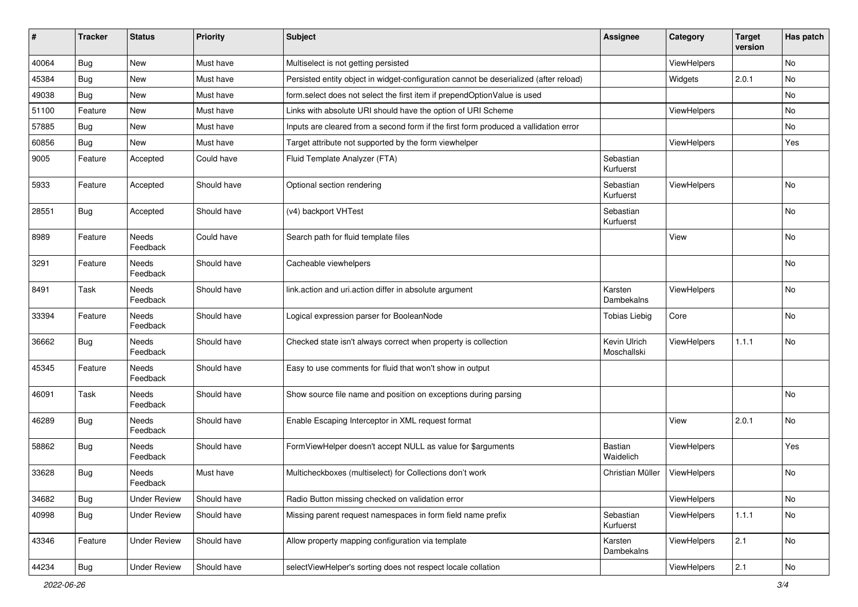| $\sharp$ | <b>Tracker</b> | <b>Status</b>       | <b>Priority</b> | Subject                                                                               | <b>Assignee</b>             | Category    | <b>Target</b><br>version | Has patch |
|----------|----------------|---------------------|-----------------|---------------------------------------------------------------------------------------|-----------------------------|-------------|--------------------------|-----------|
| 40064    | Bug            | New                 | Must have       | Multiselect is not getting persisted                                                  |                             | ViewHelpers |                          | No        |
| 45384    | Bug            | New                 | Must have       | Persisted entity object in widget-configuration cannot be deserialized (after reload) |                             | Widgets     | 2.0.1                    | No        |
| 49038    | Bug            | New                 | Must have       | form.select does not select the first item if prependOptionValue is used              |                             |             |                          | No        |
| 51100    | Feature        | New                 | Must have       | Links with absolute URI should have the option of URI Scheme                          |                             | ViewHelpers |                          | No        |
| 57885    | Bug            | New                 | Must have       | Inputs are cleared from a second form if the first form produced a vallidation error  |                             |             |                          | No        |
| 60856    | Bug            | New                 | Must have       | Target attribute not supported by the form viewhelper                                 |                             | ViewHelpers |                          | Yes       |
| 9005     | Feature        | Accepted            | Could have      | Fluid Template Analyzer (FTA)                                                         | Sebastian<br>Kurfuerst      |             |                          |           |
| 5933     | Feature        | Accepted            | Should have     | Optional section rendering                                                            | Sebastian<br>Kurfuerst      | ViewHelpers |                          | No        |
| 28551    | Bug            | Accepted            | Should have     | (v4) backport VHTest                                                                  | Sebastian<br>Kurfuerst      |             |                          | No        |
| 8989     | Feature        | Needs<br>Feedback   | Could have      | Search path for fluid template files                                                  |                             | View        |                          | No        |
| 3291     | Feature        | Needs<br>Feedback   | Should have     | Cacheable viewhelpers                                                                 |                             |             |                          | <b>No</b> |
| 8491     | Task           | Needs<br>Feedback   | Should have     | link.action and uri.action differ in absolute argument                                | Karsten<br>Dambekalns       | ViewHelpers |                          | No        |
| 33394    | Feature        | Needs<br>Feedback   | Should have     | Logical expression parser for BooleanNode                                             | <b>Tobias Liebig</b>        | Core        |                          | <b>No</b> |
| 36662    | Bug            | Needs<br>Feedback   | Should have     | Checked state isn't always correct when property is collection                        | Kevin Ulrich<br>Moschallski | ViewHelpers | 1.1.1                    | No        |
| 45345    | Feature        | Needs<br>Feedback   | Should have     | Easy to use comments for fluid that won't show in output                              |                             |             |                          |           |
| 46091    | Task           | Needs<br>Feedback   | Should have     | Show source file name and position on exceptions during parsing                       |                             |             |                          | No        |
| 46289    | <b>Bug</b>     | Needs<br>Feedback   | Should have     | Enable Escaping Interceptor in XML request format                                     |                             | View        | 2.0.1                    | No        |
| 58862    | Bug            | Needs<br>Feedback   | Should have     | FormViewHelper doesn't accept NULL as value for \$arguments                           | Bastian<br>Waidelich        | ViewHelpers |                          | Yes       |
| 33628    | <b>Bug</b>     | Needs<br>Feedback   | Must have       | Multicheckboxes (multiselect) for Collections don't work                              | Christian Müller            | ViewHelpers |                          | No        |
| 34682    | Bug            | <b>Under Review</b> | Should have     | Radio Button missing checked on validation error                                      |                             | ViewHelpers |                          | No        |
| 40998    | Bug            | <b>Under Review</b> | Should have     | Missing parent request namespaces in form field name prefix                           | Sebastian<br>Kurfuerst      | ViewHelpers | 1.1.1                    | No        |
| 43346    | Feature        | <b>Under Review</b> | Should have     | Allow property mapping configuration via template                                     | Karsten<br>Dambekalns       | ViewHelpers | 2.1                      | No        |
| 44234    | <b>Bug</b>     | <b>Under Review</b> | Should have     | selectViewHelper's sorting does not respect locale collation                          |                             | ViewHelpers | 2.1                      | No        |